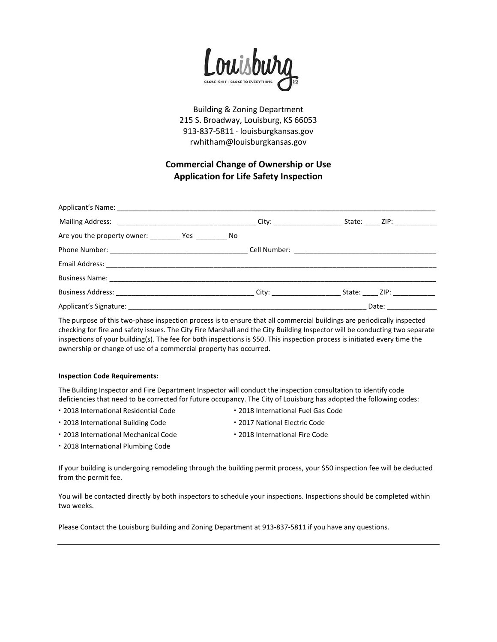

Building & Zoning Department 215 S. Broadway, Louisburg, KS 66053 913-837-5811 · louisburgkansas.gov rwhitham@louisburgkansas.gov

## **Commercial Change of Ownership or Use Application for Life Safety Inspection**

| Are you the property owner: ___________ Yes __________ No |                     |  |
|-----------------------------------------------------------|---------------------|--|
|                                                           |                     |  |
|                                                           |                     |  |
|                                                           |                     |  |
|                                                           |                     |  |
|                                                           | Date: _____________ |  |

The purpose of this two-phase inspection process is to ensure that all commercial buildings are periodically inspected checking for fire and safety issues. The City Fire Marshall and the City Building Inspector will be conducting two separate inspections of your building(s). The fee for both inspections is \$50. This inspection process is initiated every time the ownership or change of use of a commercial property has occurred.

## **Inspection Code Requirements:**

The Building Inspector and Fire Department Inspector will conduct the inspection consultation to identify code deficiencies that need to be corrected for future occupancy. The City of Louisburg has adopted the following codes:

- **·** 2018 International Residential Code **·** 2018 International Fuel Gas Code
	-
- **·** 2018 International Building Code **·** 2017 National Electric Code
	-
- **·** 2018 International Mechanical Code **·** 2018 International Fire Code
- **·** 2018 International Plumbing Code

If your building is undergoing remodeling through the building permit process, your \$50 inspection fee will be deducted from the permit fee.

You will be contacted directly by both inspectors to schedule your inspections. Inspections should be completed within two weeks.

Please Contact the Louisburg Building and Zoning Department at 913-837-5811 if you have any questions.